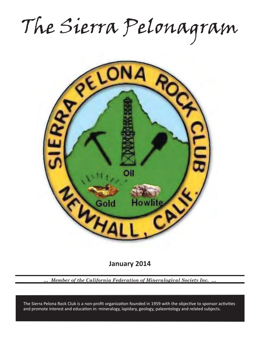The Sierra Pelonagram



**January 2014**

*… Member of the California Federation of Mineralogical Society Inc. …*

and promote interest and education in: mineralogy, lapidary, geology, paleontology and related subjects. The Sierra Pelona Rock Club is a non-profit organization founded in 1959 with the objective to sponsor activities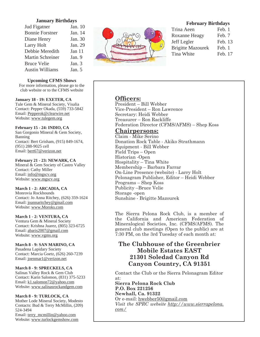## **January Birthdays**

| Jud Figatner            | Jan. 10  |
|-------------------------|----------|
| <b>Bonnie Forstner</b>  | Jan. 14  |
| Diane Henry             | Jan. 30  |
| Larry Holt              | Jan. 29  |
| Debbie Meredith         | Jan 11   |
| <b>Martin Schreiner</b> | Jan. 9   |
| <b>Bruce Velie</b>      | Jan. $3$ |
| <b>Austin Williams</b>  | Jan. 5   |

**Upcoming CFMS Shows**

For more information, please go to the club website or to the CFMS website

### **January 18 - 19: EXETER, CA**

Tule Gem & Mineral Society, Visalia Contact: Pepper Okada, (559) 733-5842 Email: Pepperok@clearwire.net Website: www.tulegem.org

### **February 15 - 24: INDIO, CA**

San Gorgonio Mineral & Gem Society, Banning Contact: Bert Grisham, (915) 849-1674, (951) 288-9025 cell Email: bert67@verizon.net

### **February 21 - 23: NEWARK, CA**

Mineral & Gem Society of Castro Valley Contact: Cathy Miller Email: info@mgscv.org Website: www.mgscv.org

#### **March 1 - 2: ARCADIA, CA**

Monrovia Rockhounds Contact: Jo Anna Ritchey, (626) 359-1624 Email: joannaritchey@gmail.com Website: www.Moroks.com

#### **March 1 - 2: VENTURA, CA**

Ventura Gem & Mineral Society Contact: Krishna Juarez, (805) 323-6725 Email: abaris2007@gmail.com Website: www.vgms.org

#### **March 8 - 9: SAN MARINO, CA**

Pasadena Lapidary Society Contact: Marcia Goetz, (626) 260-7239 Email: joenmar1@verizon.net

## **March 8 - 9: SPRECKELS, CA**

Salinas Valley Rock & Gem Club Contact: Karin Salomon, (831) 375-5233 Email: k1.salomon72@yahoo.com Website: www.salinasrockandgem.com

#### **March 8 - 9: TURLOCK, CA**

Mother Lode Mineral Society, Modesto Contacts: Bud & Terry McMillin, (209) 524-3494 Email: terry\_mcmillin@yahoo.com Website: www.turlockgemshow.com



## **February Birthdays**

| Feb. 1  |
|---------|
| Feb. 7  |
| Feb. 13 |
| Feb. 1  |
| Feb. 17 |
|         |

## **Officers:**

President – Bill Webber Vice-President – Ron Lawrence Secretary: Heidi Webber Treasurer – Ron Rackliffe Federation Director (CFMS/AFMS) – Shep Koss

## **Chairpersons:**

Claim - Mike Serino Donation Rock Table - Akiko Strathmann Equipment - Bill Webber Field Trips – Open Historian -Open Hospitality – Tina White Membership – Barbara Farrar On-Line Presence (website) - Larry Holt Pelonagram Publisher, Editor – Heidi Webber Programs – Shep Koss Publicity –Bruce Velie Storage -open Sunshine - Brigitte Mazourek

The Sierra Pelona Rock Club, is a member of the California and American Federation of Mineralogical Societies, Inc. (CFMS/AFMS). The general club meetings (Open to the public) are at 7:30 PM, on the 3rd Tuesday of each month at:

# **The Clubhouse of the Greenbrier Mobile Estates EAST 21301 Soledad Canyon Rd Canyon Country, CA 91351**

Contact the Club or the Sierra Pelonagram Editor at:

**Sierra Pelona Rock Club P.O. Box 221256 Newhall, Ca. 91322** Or e-mail: hwebber50@gmail.com *Visit the SPRC website http://www.sierrapelona. com/*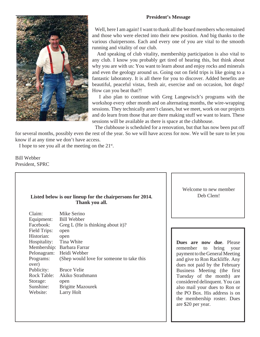## **President's Message**



 Well, here I am again! I want to thank all the board members who remained and those who were elected into their new position. And big thanks to the various chairpersons. Each and every one of you are vital to the smooth running and vitality of our club.

 And speaking of club vitality, membership participation is also vital to any club. I know you probably get tired of hearing this, but think about why you are with us: You want to learn about and enjoy rocks and minerals and even the geology around us. Going out on field trips is like going to a fantastic laboratory. It is all there for you to discover. Added benefits are beautiful, peaceful vistas, fresh air, exercise and on occasion, hot dogs! How can you beat that?!

 I also plan to continue with Greg Langewisch's programs with the workshop every other month and on alternating months, the wire-wrapping sessions. They technically aren't classes, but we meet, work on our projects and do learn from those that are there making stuff we want to learn. These sessions will be available as there is space at the clubhouse.

 The clubhouse is scheduled for a renovation, but that has now been put off for several months, possibly even the rest of the year. So we will have access for now. We will be sure to let you know if at any time we don't have access.

I hope to see you all at the meeting on the  $21^{st}$ .

Bill Webber President, SPRC

# **Listed below is our lineup for the chairpersons for 2014. Thank you all.**

| Claim:       | Mike Serino                               |
|--------------|-------------------------------------------|
| Equipment:   | <b>Bill Webber</b>                        |
| Facebook:    | Greg L (He is thinking about it)?         |
| Field Trips: | open                                      |
| Historian:   | open                                      |
| Hospitality: | Tina White                                |
| Membership:  | Barbara Farrar                            |
| Pelonagram:  | Heidi Webber                              |
| Programs:    | (Shep would love for someone to take this |
| over)        |                                           |
| Publicity:   | <b>Bruce Velie</b>                        |
| Rock Table:  | Akiko Strathmann                          |
| Storage:     | open                                      |
| Sunshine:    | <b>Brigitte Mazourek</b>                  |
| Website:     | Larry Holt                                |

Welcome to new member Deb Clem!

**Dues are now due**. Please remember to bring your payment to the General Meeting and give to Ron Rackliffe. Any dues not paid by the February Business Meeting (the first Tuesday of the month) are considered delinquent. You can also mail your dues to Ron or the PO Box. His address is on the membership roster. Dues are \$20 per year.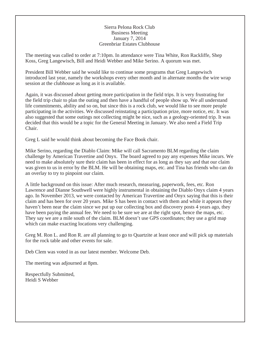## Sierra Pelona Rock Club Business Meeting January 7, 2014 Greenbriar Estates Clubhouse

The meeting was called to order at 7:10pm. In attendance were Tina White, Ron Rackliffe, Shep Koss, Greg Langewisch, Bill and Heidi Webber and Mike Serino. A quorum was met.

President Bill Webber said he would like to continue some programs that Greg Langewisch introduced last year, namely the workshops every other month and in alternate months the wire wrap session at the clubhouse as long as it is available.

Again, it was discussed about getting more participation in the field trips. It is very frustrating for the field trip chair to plan the outing and then have a handful of people show up. We all understand life commitments, ability and so on, but since this is a rock club, we would like to see more people participating in the activities. We discussed reinstating a participation prize, more notice, etc. It was also suggested that some outings not collecting might be nice, such as a geology-oriented trip. It was decided that this would be a topic for the General Meeting in January. We also need a Field Trip Chair.

Greg L said he would think about becoming the Face Book chair.

Mike Serino, regarding the Diablo Claim: Mike will call Sacramento BLM regarding the claim challenge by American Travertine and Onyx. The board agreed to pay any expenses Mike incurs. We need to make absolutely sure their claim has been in effect for as long as they say and that our claim was given to us in error by the BLM. He will be obtaining maps, etc. and Tina has friends who can do an overlay to try to pinpoint our claim.

A little background on this issue: After much research, measuring, paperwork, fees, etc. Ron Lawrence and Dianne Southwell were highly instrumental in obtaining the Diablo Onyx claim 4 years ago. In November 2013, we were contacted by American Travertine and Onyx saying that this is their claim and has been for over 20 years. Mike S has been in contact with them and while it appears they haven't been near the claim since we put up our collecting box and discovery posts 4 years ago, they have been paying the annual fee. We need to be sure we are at the right spot, hence the maps, etc. They say we are a mile south of the claim. BLM doesn't use GPS coordinates; they use a grid map which can make exacting locations very challenging.

Greg M. Ron L. and Ron R. are all planning to go to Quartzite at least once and will pick up materials for the rock table and other events for sale.

Deb Clem was voted in as our latest member. Welcome Deb.

The meeting was adjourned at 8pm.

Respectfully Submitted, Heidi S Webber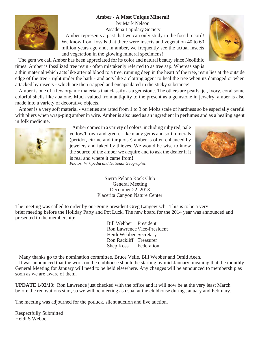# **Amber - A Most Unique Mineral!**

by Mark Nelson Pasadena Lapidary Society

 Amber represents a past that we can only study in the fossil record! We know from fossils that there were insects and vegetation 40 to 60 million years ago and, in amber, we frequently see the actual insects and vegetation in the glowing mineral specimens!

 The gem we call Amber has been appreciated for its color and natural beauty since Neolithic times. Amber is fossilized tree resin - often mistakenly referred to as tree sap. Whereas sap is

a thin material which acts like arterial blood to a tree, running deep in the heart of the tree, resin lies at the outside edge of the tree - right under the bark - and acts like a clotting agent to heal the tree when its damaged or when attacked by insects - which are then trapped and encapsulated in the sticky substance!

 Amber is one of a few organic materials that classify as a gemstone. The others are pearls, jet, ivory, coral some colorful shells like abalone. Much valued from antiquity to the present as a gemstone in jewelry, amber is also made into a variety of decorative objects.

 Amber is a very soft material - varieties are rated from 1 to 3 on Mohs scale of hardness so be especially careful with pliers when wrap-ping amber in wire. Amber is also used as an ingredient in perfumes and as a healing agent

> Amber comes in a variety of colors, including ruby red, pale yellow/brown and green. Like many gems and soft minerals (peridot, citrine and turquoise) amber is often enhanced by jewelers and faked by thieves. We would be wise to know the source of the amber we acquire and to ask the dealer if it is real and where it came from!

*Photos: Wikipedia and National Geographic*

Sierra Pelona Rock Club General Meeting December 22, 2013 Placerita Canyon Nature Center

The meeting was called to order by out-going president Greg Langewisch. This is to be a very brief meeting before the Holiday Party and Pot Luck. The new board for the 2014 year was announced and presented to the membership:

> Bill Webber President Ron Lawrence Vice-President Heidi Webber Secretary Ron Rackliff Treasurer Shep Koss Federation

Many thanks go to the nomination committee, Bruce Velie, Bill Webber and Omid Aeen.

 It was announced that the work on the clubhouse should be starting by mid-January, meaning that the monthly General Meeting for January will need to be held elsewhere. Any changes will be announced to membership as soon as we are aware of them.

**UPDATE 1/02/13**: Ron Lawrence just checked with the office and it will now be at the very least March before the renovations start, so we will be meeting as usual at the clubhouse during January and February.

The meeting was adjourned for the potluck, silent auction and live auction.

Respectfully Submitted Heidi S Webber